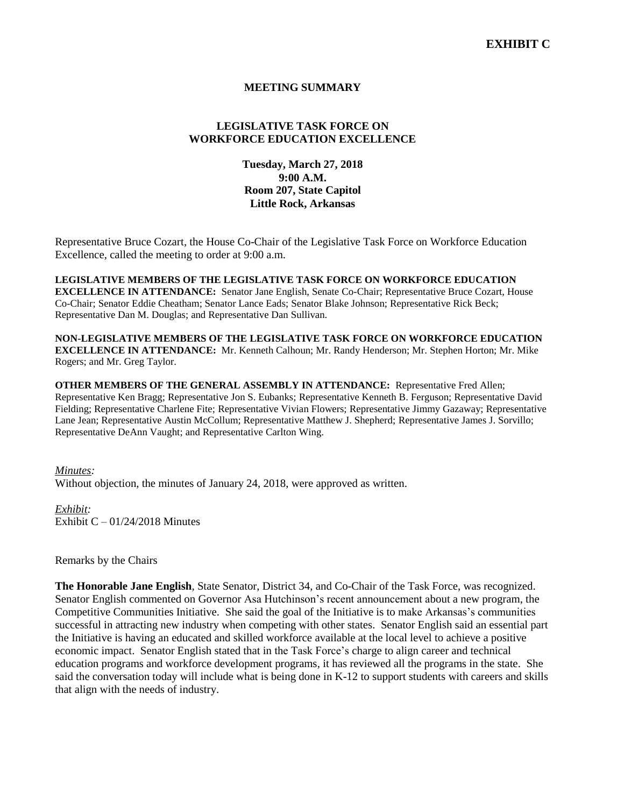## **MEETING SUMMARY**

# **LEGISLATIVE TASK FORCE ON WORKFORCE EDUCATION EXCELLENCE**

## **Tuesday, March 27, 2018 9:00 A.M. Room 207, State Capitol Little Rock, Arkansas**

Representative Bruce Cozart, the House Co-Chair of the Legislative Task Force on Workforce Education Excellence, called the meeting to order at 9:00 a.m.

**LEGISLATIVE MEMBERS OF THE LEGISLATIVE TASK FORCE ON WORKFORCE EDUCATION EXCELLENCE IN ATTENDANCE:** Senator Jane English, Senate Co-Chair; Representative Bruce Cozart, House Co-Chair; Senator Eddie Cheatham; Senator Lance Eads; Senator Blake Johnson; Representative Rick Beck; Representative Dan M. Douglas; and Representative Dan Sullivan.

**NON-LEGISLATIVE MEMBERS OF THE LEGISLATIVE TASK FORCE ON WORKFORCE EDUCATION EXCELLENCE IN ATTENDANCE:** Mr. Kenneth Calhoun; Mr. Randy Henderson; Mr. Stephen Horton; Mr. Mike Rogers; and Mr. Greg Taylor.

**OTHER MEMBERS OF THE GENERAL ASSEMBLY IN ATTENDANCE:** Representative Fred Allen; Representative Ken Bragg; Representative Jon S. Eubanks; Representative Kenneth B. Ferguson; Representative David Fielding; Representative Charlene Fite; Representative Vivian Flowers; Representative Jimmy Gazaway; Representative Lane Jean; Representative Austin McCollum; Representative Matthew J. Shepherd; Representative James J. Sorvillo; Representative DeAnn Vaught; and Representative Carlton Wing.

#### *Minutes:*

Without objection, the minutes of January 24, 2018, were approved as written.

#### *Exhibit:* Exhibit  $C - 01/24/2018$  Minutes

Remarks by the Chairs

**The Honorable Jane English**, State Senator, District 34, and Co-Chair of the Task Force, was recognized. Senator English commented on Governor Asa Hutchinson's recent announcement about a new program, the Competitive Communities Initiative. She said the goal of the Initiative is to make Arkansas's communities successful in attracting new industry when competing with other states. Senator English said an essential part the Initiative is having an educated and skilled workforce available at the local level to achieve a positive economic impact. Senator English stated that in the Task Force's charge to align career and technical education programs and workforce development programs, it has reviewed all the programs in the state. She said the conversation today will include what is being done in K-12 to support students with careers and skills that align with the needs of industry.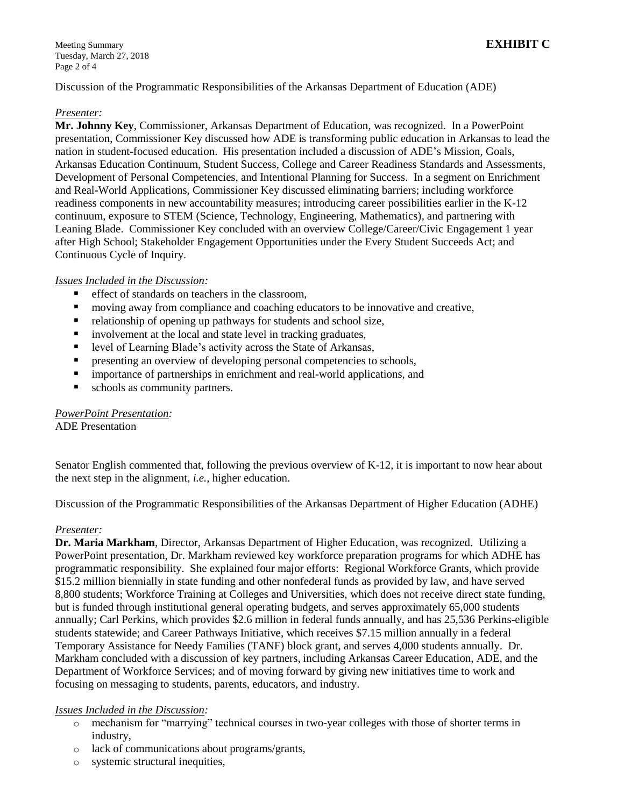Meeting Summary **EXHIBIT C** Tuesday, March 27, 2018 Page 2 of 4

Discussion of the Programmatic Responsibilities of the Arkansas Department of Education (ADE)

#### *Presenter:*

**Mr. Johnny Key**, Commissioner, Arkansas Department of Education, was recognized. In a PowerPoint presentation, Commissioner Key discussed how ADE is transforming public education in Arkansas to lead the nation in student-focused education. His presentation included a discussion of ADE's Mission, Goals, Arkansas Education Continuum, Student Success, College and Career Readiness Standards and Assessments, Development of Personal Competencies, and Intentional Planning for Success. In a segment on Enrichment and Real-World Applications, Commissioner Key discussed eliminating barriers; including workforce readiness components in new accountability measures; introducing career possibilities earlier in the K-12 continuum, exposure to STEM (Science, Technology, Engineering, Mathematics), and partnering with Leaning Blade. Commissioner Key concluded with an overview College/Career/Civic Engagement 1 year after High School; Stakeholder Engagement Opportunities under the Every Student Succeeds Act; and Continuous Cycle of Inquiry.

## *Issues Included in the Discussion:*

- effect of standards on teachers in the classroom,
- moving away from compliance and coaching educators to be innovative and creative,
- relationship of opening up pathways for students and school size,
- **i** involvement at the local and state level in tracking graduates,
- level of Learning Blade's activity across the State of Arkansas,
- **P** presenting an overview of developing personal competencies to schools,
- **Independent importance of partnerships in enrichment and real-world applications, and**
- schools as community partners.

## *PowerPoint Presentation:*

ADE Presentation

Senator English commented that, following the previous overview of K-12, it is important to now hear about the next step in the alignment, *i.e.,* higher education.

Discussion of the Programmatic Responsibilities of the Arkansas Department of Higher Education (ADHE)

## *Presenter:*

**Dr. Maria Markham**, Director, Arkansas Department of Higher Education, was recognized. Utilizing a PowerPoint presentation, Dr. Markham reviewed key workforce preparation programs for which ADHE has programmatic responsibility. She explained four major efforts: Regional Workforce Grants, which provide \$15.2 million biennially in state funding and other nonfederal funds as provided by law, and have served 8,800 students; Workforce Training at Colleges and Universities, which does not receive direct state funding, but is funded through institutional general operating budgets, and serves approximately 65,000 students annually; Carl Perkins, which provides \$2.6 million in federal funds annually, and has 25,536 Perkins-eligible students statewide; and Career Pathways Initiative, which receives \$7.15 million annually in a federal Temporary Assistance for Needy Families (TANF) block grant, and serves 4,000 students annually. Dr. Markham concluded with a discussion of key partners, including Arkansas Career Education, ADE, and the Department of Workforce Services; and of moving forward by giving new initiatives time to work and focusing on messaging to students, parents, educators, and industry.

## *Issues Included in the Discussion:*

- o mechanism for "marrying" technical courses in two-year colleges with those of shorter terms in industry,
- o lack of communications about programs/grants,
- o systemic structural inequities,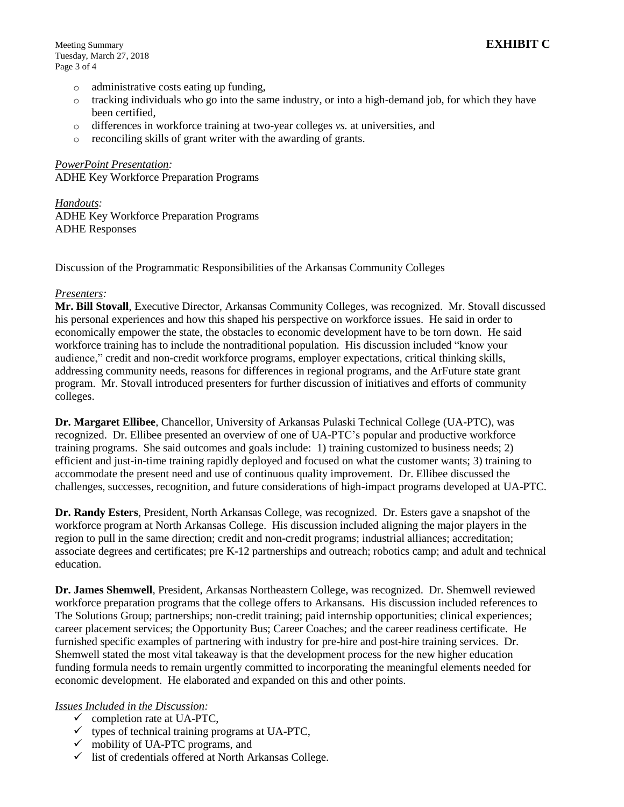- o administrative costs eating up funding,
- o tracking individuals who go into the same industry, or into a high-demand job, for which they have been certified,
- o differences in workforce training at two-year colleges *vs.* at universities, and
- o reconciling skills of grant writer with the awarding of grants.

*PowerPoint Presentation:* ADHE Key Workforce Preparation Programs

*Handouts:* ADHE Key Workforce Preparation Programs ADHE Responses

Discussion of the Programmatic Responsibilities of the Arkansas Community Colleges

#### *Presenters:*

**Mr. Bill Stovall**, Executive Director, Arkansas Community Colleges, was recognized. Mr. Stovall discussed his personal experiences and how this shaped his perspective on workforce issues. He said in order to economically empower the state, the obstacles to economic development have to be torn down. He said workforce training has to include the nontraditional population. His discussion included "know your audience," credit and non-credit workforce programs, employer expectations, critical thinking skills, addressing community needs, reasons for differences in regional programs, and the ArFuture state grant program. Mr. Stovall introduced presenters for further discussion of initiatives and efforts of community colleges.

**Dr. Margaret Ellibee**, Chancellor, University of Arkansas Pulaski Technical College (UA-PTC), was recognized. Dr. Ellibee presented an overview of one of UA-PTC's popular and productive workforce training programs. She said outcomes and goals include: 1) training customized to business needs; 2) efficient and just-in-time training rapidly deployed and focused on what the customer wants; 3) training to accommodate the present need and use of continuous quality improvement. Dr. Ellibee discussed the challenges, successes, recognition, and future considerations of high-impact programs developed at UA-PTC.

**Dr. Randy Esters**, President, North Arkansas College, was recognized. Dr. Esters gave a snapshot of the workforce program at North Arkansas College. His discussion included aligning the major players in the region to pull in the same direction; credit and non-credit programs; industrial alliances; accreditation; associate degrees and certificates; pre K-12 partnerships and outreach; robotics camp; and adult and technical education.

**Dr. James Shemwell**, President, Arkansas Northeastern College, was recognized. Dr. Shemwell reviewed workforce preparation programs that the college offers to Arkansans. His discussion included references to The Solutions Group; partnerships; non-credit training; paid internship opportunities; clinical experiences; career placement services; the Opportunity Bus; Career Coaches; and the career readiness certificate. He furnished specific examples of partnering with industry for pre-hire and post-hire training services. Dr. Shemwell stated the most vital takeaway is that the development process for the new higher education funding formula needs to remain urgently committed to incorporating the meaningful elements needed for economic development. He elaborated and expanded on this and other points.

## *Issues Included in the Discussion:*

- $\checkmark$  completion rate at UA-PTC,
- $\checkmark$  types of technical training programs at UA-PTC,
- $\checkmark$  mobility of UA-PTC programs, and
- $\checkmark$  list of credentials offered at North Arkansas College.